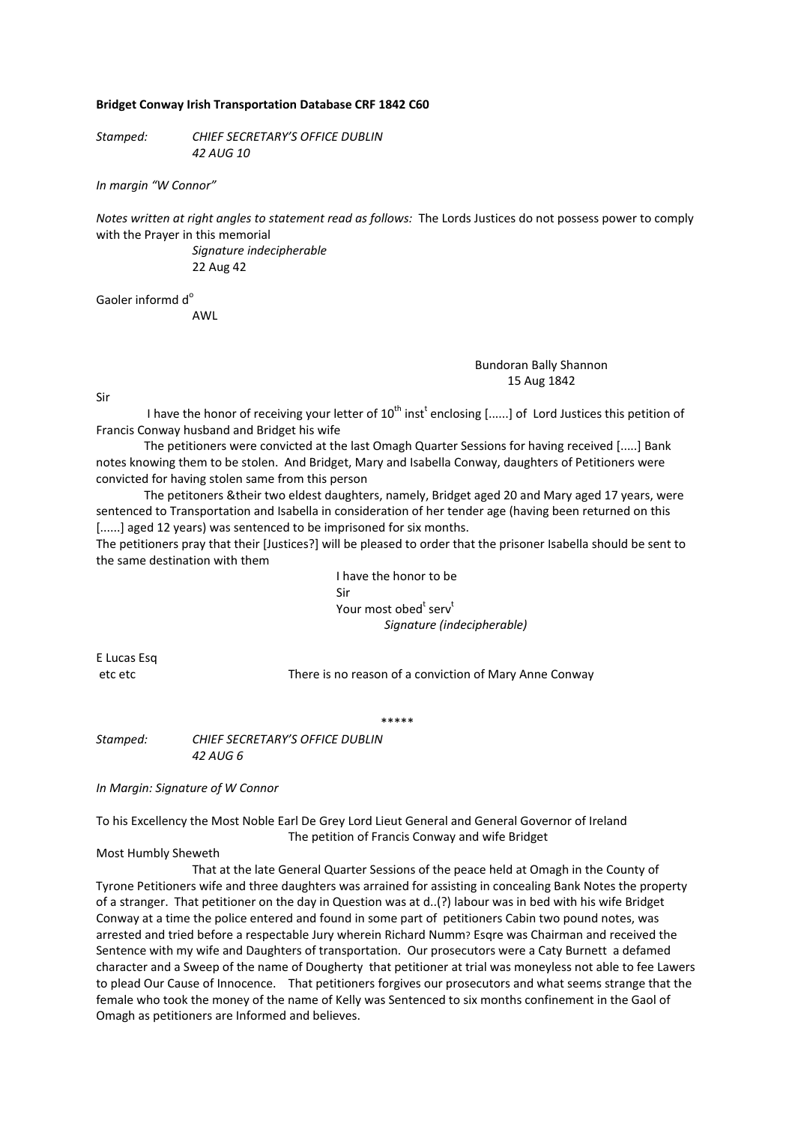## **Bridget Conway Irish Transportation Database CRF 1842 C60**

*Stamped: CHIEF SECRETARY'S OFFICE DUBLIN 42 AUG 10*

*In margin "W Connor"*

*Notes written at right angles to statement read as follows:* The Lords Justices do not possess power to comply with the Prayer in this memorial

> *Signature indecipherable*  22 Aug 42

Gaoler informd d<sup>o</sup>

AWL

## Bundoran Bally Shannon 15 Aug 1842

Sir

I have the honor of receiving your letter of  $10^{\text{th}}$  inst<sup>t</sup> enclosing [......] of Lord Justices this petition of Francis Conway husband and Bridget his wife

The petitioners were convicted at the last Omagh Quarter Sessions for having received [.....] Bank notes knowing them to be stolen. And Bridget, Mary and Isabella Conway, daughters of Petitioners were convicted for having stolen same from this person

The petitoners &their two eldest daughters, namely, Bridget aged 20 and Mary aged 17 years, were sentenced to Transportation and Isabella in consideration of her tender age (having been returned on this [......] aged 12 years) was sentenced to be imprisoned for six months.

The petitioners pray that their [Justices?] will be pleased to order that the prisoner Isabella should be sent to the same destination with them

> I have the honor to be Sir Your most obed<sup>t</sup> serv<sup>t</sup> *Signature (indecipherable)*

E Lucas Esq

etc etc There is no reason of a conviction of Mary Anne Conway

\*\*\*\*\*

*Stamped: CHIEF SECRETARY'S OFFICE DUBLIN 42 AUG 6*

*In Margin: Signature of W Connor*

To his Excellency the Most Noble Earl De Grey Lord Lieut General and General Governor of Ireland The petition of Francis Conway and wife Bridget

## Most Humbly Sheweth

That at the late General Quarter Sessions of the peace held at Omagh in the County of Tyrone Petitioners wife and three daughters was arrained for assisting in concealing Bank Notes the property of a stranger. That petitioner on the day in Question was at d..(?) labour was in bed with his wife Bridget Conway at a time the police entered and found in some part of petitioners Cabin two pound notes, was arrested and tried before a respectable Jury wherein Richard Numm? Esqre was Chairman and received the Sentence with my wife and Daughters of transportation. Our prosecutors were a Caty Burnett a defamed character and a Sweep of the name of Dougherty that petitioner at trial was moneyless not able to fee Lawers to plead Our Cause of Innocence. That petitioners forgives our prosecutors and what seems strange that the female who took the money of the name of Kelly was Sentenced to six months confinement in the Gaol of Omagh as petitioners are Informed and believes.